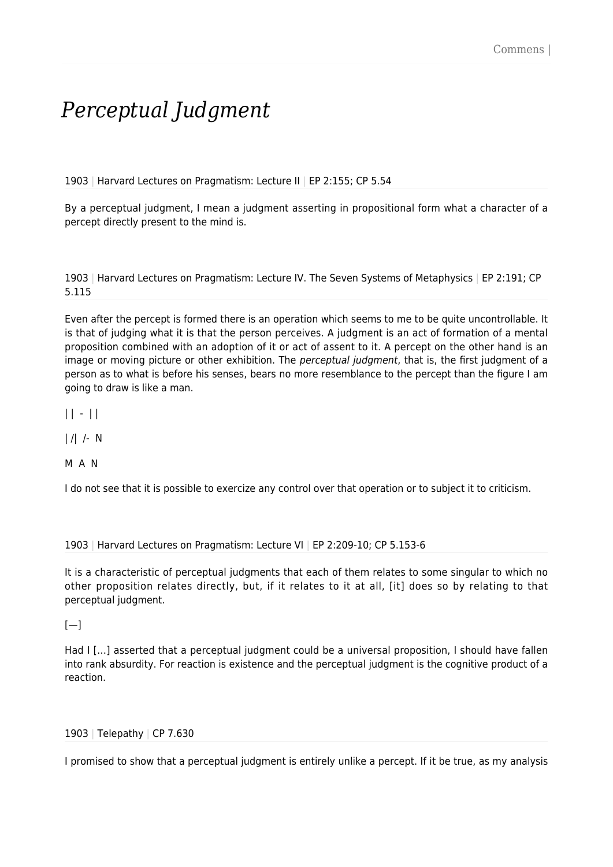## *Perceptual Judgment*

1903 | Harvard Lectures on Pragmatism: Lecture II | EP 2:155; CP 5.54

By a perceptual judgment, I mean a judgment asserting in propositional form what a character of a percept directly present to the mind is.

1903 | Harvard Lectures on Pragmatism: Lecture IV. The Seven Systems of Metaphysics | EP 2:191; CP 5.115

Even after the percept is formed there is an operation which seems to me to be quite uncontrollable. It is that of judging what it is that the person perceives. A judgment is an act of formation of a mental proposition combined with an adoption of it or act of assent to it. A percept on the other hand is an image or moving picture or other exhibition. The *perceptual judgment*, that is, the first judgment of a person as to what is before his senses, bears no more resemblance to the percept than the figure I am going to draw is like a man.

 $|| - ||$ 

| /| /- N

M A N

I do not see that it is possible to exercize any control over that operation or to subject it to criticism.

1903 | Harvard Lectures on Pragmatism: Lecture VI | EP 2:209-10; CP 5.153-6

It is a characteristic of perceptual judgments that each of them relates to some singular to which no other proposition relates directly, but, if it relates to it at all, [it] does so by relating to that perceptual judgment.

 $[-]$ 

Had I […] asserted that a perceptual judgment could be a universal proposition, I should have fallen into rank absurdity. For reaction is existence and the perceptual judgment is the cognitive product of a reaction.

## 1903 | Telepathy | CP 7.630

I promised to show that a perceptual judgment is entirely unlike a percept. If it be true, as my analysis